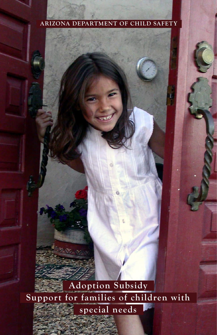#### **ARIZONA DEPARTMENT OF CHILD SAFETY**

 **Adoption Subsidy Support for families of children with special needs**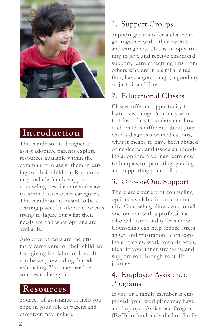

### **Introduction**

This handbook is designed to assist adoptive parents explore resources available within the community to assist them in caring for their children. Resources may include family support, counseling, respite care and ways to connect with other caregivers. This handbook is meant to be a starting place for adoptive parents trying to figure out what their needs are and what options are available.

Adoptive parents are the primary caregivers for their children. Caregiving is a labor of love. It can be very rewarding, but also exhausting. You may need resources to help you.

### **Resources**

Sources of assistance to help you cope in your role as parent and caregiver may include:

## 1. Support Groups

Support groups offer a chance to get together with other parents and caregivers. This is an opportunity to give and receive emotional support, learn caregiving tips from others who are in a similar situation, have a good laugh, a good cry or just sit and listen.

## 2. Educational Classes

Classes offer an opportunity to learn new things. You may want to take a class to understand how each child is different, about your child's diagnosis or medications, what it means to have been abused or neglected, and issues surrounding adoption. You may learn new techniques for parenting, guiding and supporting your child.

## 3. One-on-One Support

There are a variety of counseling options available in the community. Counseling allows you to talk one-on-one with a professional who will listen and offer support. Counseling can help reduce stress, anger, and frustration, learn coping strategies, work towards goals, identify your inner strengths, and support you through your life journey.

### 4. Employee Assistance Programs

If you or a family member is employed, your workplace may have an Employee Assistance Program (EAP) to fund individual or family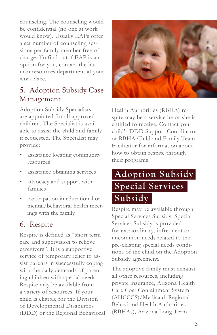counseling. The counseling would be confidential (no one at work would know). Usually EAPs offer a set number of counseling sessions per family member free of charge. To find out if EAP is an option for you, contact the human resources department at your workplace.

### 5. Adoption Subsidy Case Management

Adoption Subsidy Specialists are appointed for all approved children. The Specialist is available to assist the child and family if requested. The Specialist may provide:

- assistance locating community resources
- assistance obtaining services
- advocacy and support with families
- participation in educational or mental/behavioral health meetings with the family

### 6. Respite

Respite is defined as "short term care and supervision to relieve caregivers". It is a supportive service of temporary relief to assist parents in successfully coping with the daily demands of parenting children with special needs. Respite may be available from a variety of resources. If your child is eligible for the Division of Developmental Disabilities (DDD) or the Regional Behavioral



Health Authorities (RBHA) respite may be a service he or she is entitled to receive. Contact your child's DDD Support Coordinator or RBHA Child and Family Team Facilitator for information about how to obtain respite through their programs.

## **Adoption Subsidy Special Services Subsidy**

Respite may be available through Special Services Subsidy. Special Services Subsidy is provided for extraordinary, infrequent or uncommon needs related to the pre-existing special needs conditions of the child on the Adoption Subsidy agreement.

The adoptive family must exhaust all other resources, including private insurance, Arizona Health Care Cost Containment System (AHCCCS)/Medicaid, Regional Behavioral Health Authorities (RBHAs), Arizona Long Term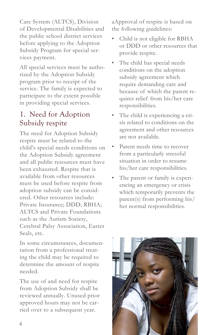Care System (ALTCS), Division of Developmental Disabilities and the public school district services before applying to the Adoption Subsidy Program for special services payment.

All special services must be authorized by the Adoption Subsidy program prior to receipt of the service. The family is expected to participate to the extent possible in providing special services.

#### 1. Need for Adoption Subsidy respite

The need for Adoption Subsidy respite must be related to the child's special needs conditions on the Adoption Subsidy agreement and all public resources must have been exhausted. Respite that is available from other resources must be used before respite from adoption subsidy can be considered. Other resources include: Private Insurance; DDD; RBHA; ALTCS and Private Foundations such as the Autism Society, Cerebral Palsy Association, Easter Seals, etc.

In some circumstances, documentation from a professional treating the child may be required to determine the amount of respite needed.

The use of and need for respite from Adoption Subsidy shall be reviewed annually. Unused prior approved hours may not be carried over to a subsequent year.

aApproval of respite is based on the following guidelines:

- Child is not eligible for RBHA or DDD or other resources that provide respite.
- The child has special needs conditions on the adoption subsidy agreement which require demanding care and because of which the parent requires relief from his/her care responsibilities.
- The child is experiencing a crisis related to conditions on the agreement and other resources are not available.
- Parent needs time to recover from a particularly stressful situation in order to resume his/her care responsibilities.
- The parent or family is experiencing an emergency or crisis which temporarily prevents the parent(s) from performing his/ her normal responsibilities.

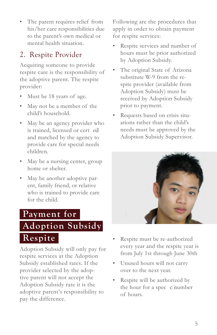The parent requires relief from his/her care responsibilities due to the parent's own medical or mental health situation.

## 2. Respite Provider

Acquiring someone to provide respite care is the responsibility of the adoptive parent. The respite provider:

- Must be 18 years of age.
- May not be a member of the child's household.
- May be an agency provider who is trained, licensed or cert ed and matched by the agency to provide care for special needs children.
- May be a nursing center, group home or shelter.
- May be another adoptive parent, family friend, or relative who is trained to provide care for the child.

## **Payment for**

# **Adoption Subsidy Respite**

Adoption Subsidy will only pay for respite services at the Adoption Subsidy established rates. If the provider selected by the adoptive parent will not accept the Adoption Subsidy rate it is the adoptive parent's responsibility to pay the difference.

Following are the procedures that apply in order to obtain payment for respite services:

- Respite services and number of hours must be prior authorized by Adoption Subsidy.
- The original State of Arizona substitute W-9 from the respite provider (available from Adoption Subsidy) must be received by Adoption Subsidy prior to payment.
- Requests based on crisis situations rather than the child's needs must be approved by the Adoption Subsidy Supervisor.



- Respite must be re-authorized every year and the respite year is from July 1st through June 30th
- Unused hours will not carry over to the next year.
- Respite will be authorized by the hour for a spec c number of hours.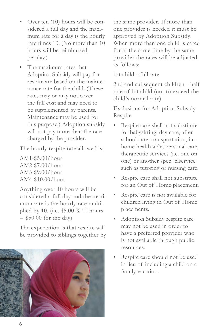- Over ten (10) hours will be considered a full day and the maximum rate for a day is the hourly rate times 10. (No more than 10 hours will be reimbursed per day.)
- The maximum rates that Adoption Subsidy will pay for respite are based on the maintenance rate for the child. (These rates may or may not cover the full cost and may need to be supplemented by parents. Maintenance may be used for this purpose.) Adoption subsidy will not pay more than the rate charged by the provider.

The hourly respite rate allowed is:

AM1-\$5.00/hour AM2-\$7.00/hour AM3-\$9.00/hour AM4-\$10.00/hour

Anything over 10 hours will be considered a full day and the maximum rate is the hourly rate multiplied by 10. (i.e. \$5.00 X 10 hours  $= $50.00$  for the day)

The expectation is that respite will be provided to siblings together by



the same provider. If more than one provider is needed it must be approved by Adoption Subsidy. When more than one child is cared for at the same time by the same provider the rates will be adjusted as follows:

1st child-- full rate

2nd and subsequent children --half rate of 1st child (not to exceed the child's normal rate)

Exclusions for Adoption Subsidy Respite

- Respite care shall not substitute for babysitting, day care, after school care, transportation, inhome health aide, personal care, therapeutic services (i.e. one on one) or another spec c service such as tutoring or nursing care.
- Respite care shall not substitute for an Out of Home placement.
- Respite care is not available for children living in Out of Home placements.
- Adoption Subsidy respite care may not be used in order to have a preferred provider who is not available through public resources.
- Respite care should not be used in lieu of including a child on a family vacation.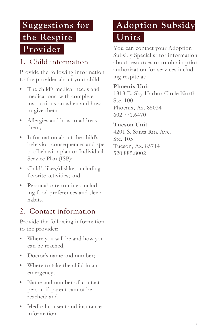# **Suggestions for the Respite Provider**

## 1. Child information

Provide the following information to the provider about your child:

- The child's medical needs and medications, with complete instructions on when and how to give them
- Allergies and how to address them;
- Information about the child's behavior, consequences and spec��c behavior plan or Individual Service Plan (ISP);
- Child's likes/dislikes including favorite activities; and
- Personal care routines including food preferences and sleep habits.

## 2. Contact information

Provide the following information to the provider:

- Where you will be and how you can be reached;
- Doctor's name and number;
- Where to take the child in an emergency;
- Name and number of contact person if parent cannot be reached; and
- Medical consent and insurance information.

# **Adoption Subsidy Units**

You can contact your Adoption Subsidy Specialist for information about resources or to obtain prior authorization for services including respite at:

#### **Phoenix Unit**

1818 E. Sky Harbor Circle North Ste. 100 Phoenix, Az. 85034 602.771.6470

#### **Tucson Unit**

4201 S. Santa Rita Ave. Ste. 105 Tucson, Az. 85714 520.885.8002